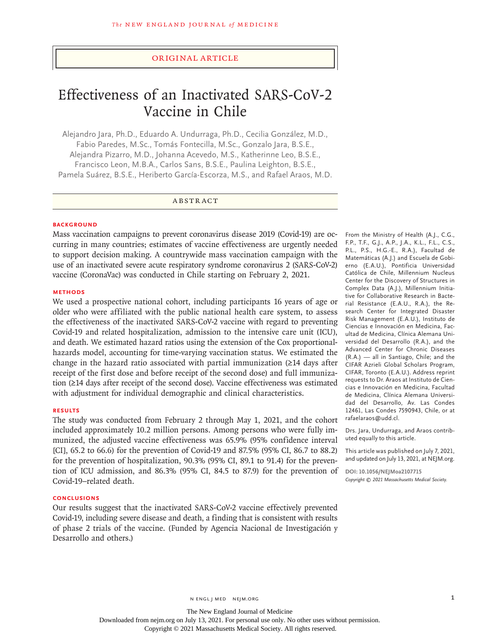## Original Article

# Effectiveness of an Inactivated SARS-CoV-2 Vaccine in Chile

Alejandro Jara, Ph.D., Eduardo A. Undurraga, Ph.D., Cecilia González, M.D., Fabio Paredes, M.Sc., Tomás Fontecilla, M.Sc., Gonzalo Jara, B.S.E., Alejandra Pizarro, M.D., Johanna Acevedo, M.S., Katherinne Leo, B.S.E., Francisco Leon, M.B.A., Carlos Sans, B.S.E., Paulina Leighton, B.S.E., Pamela Suárez, B.S.E., Heriberto García-Escorza, M.S., and Rafael Araos, M.D.

# ABSTRACT

#### **BACKGROUND**

Mass vaccination campaigns to prevent coronavirus disease 2019 (Covid-19) are occurring in many countries; estimates of vaccine effectiveness are urgently needed to support decision making. A countrywide mass vaccination campaign with the use of an inactivated severe acute respiratory syndrome coronavirus 2 (SARS-CoV-2) vaccine (CoronaVac) was conducted in Chile starting on February 2, 2021.

#### **METHODS**

We used a prospective national cohort, including participants 16 years of age or older who were affiliated with the public national health care system, to assess the effectiveness of the inactivated SARS-CoV-2 vaccine with regard to preventing Covid-19 and related hospitalization, admission to the intensive care unit (ICU), and death. We estimated hazard ratios using the extension of the Cox proportionalhazards model, accounting for time-varying vaccination status. We estimated the change in the hazard ratio associated with partial immunization (≥14 days after receipt of the first dose and before receipt of the second dose) and full immunization (≥14 days after receipt of the second dose). Vaccine effectiveness was estimated with adjustment for individual demographic and clinical characteristics.

# **RESULTS**

The study was conducted from February 2 through May 1, 2021, and the cohort included approximately 10.2 million persons. Among persons who were fully immunized, the adjusted vaccine effectiveness was 65.9% (95% confidence interval [CI], 65.2 to 66.6) for the prevention of Covid-19 and 87.5% (95% CI, 86.7 to 88.2) for the prevention of hospitalization, 90.3% (95% CI, 89.1 to 91.4) for the prevention of ICU admission, and 86.3% (95% CI, 84.5 to 87.9) for the prevention of Covid-19–related death.

# **CONCLUSIONS**

Our results suggest that the inactivated SARS-CoV-2 vaccine effectively prevented Covid-19, including severe disease and death, a finding that is consistent with results of phase 2 trials of the vaccine. (Funded by Agencia Nacional de Investigación y Desarrollo and others.)

From the Ministry of Health (A.J., C.G., F.P., T.F., G.J., A.P., J.A., K.L., F.L., C.S., P.L., P.S., H.G.-E., R.A.), Facultad de Matemáticas (A.J.) and Escuela de Gobierno (E.A.U.), Pontificia Universidad Católica de Chile, Millennium Nucleus Center for the Discovery of Structures in Complex Data (A.J.), Millennium Initiative for Collaborative Research in Bacterial Resistance (E.A.U., R.A.), the Research Center for Integrated Disaster Risk Management (E.A.U.), Instituto de Ciencias e Innovación en Medicina, Facultad de Medicina, Clínica Alemana Universidad del Desarrollo (R.A.), and the Advanced Center for Chronic Diseases (R.A.) — all in Santiago, Chile; and the CIFAR Azrieli Global Scholars Program, CIFAR, Toronto (E.A.U.). Address reprint requests to Dr. Araos at Instituto de Ciencias e Innovación en Medicina, Facultad de Medicina, Clínica Alemana Universidad del Desarrollo, Av. Las Condes 12461, Las Condes 7590943, Chile, or at rafaelaraos@udd.cl.

Drs. Jara, Undurraga, and Araos contributed equally to this article.

This article was published on July 7, 2021, and updated on July 13, 2021, at NEJM.org.

**DOI: 10.1056/NEJMoa2107715** *Copyright © 2021 Massachusetts Medical Society.*

n engl j med nejm.org 1

The New England Journal of Medicine

Downloaded from nejm.org on July 13, 2021. For personal use only. No other uses without permission.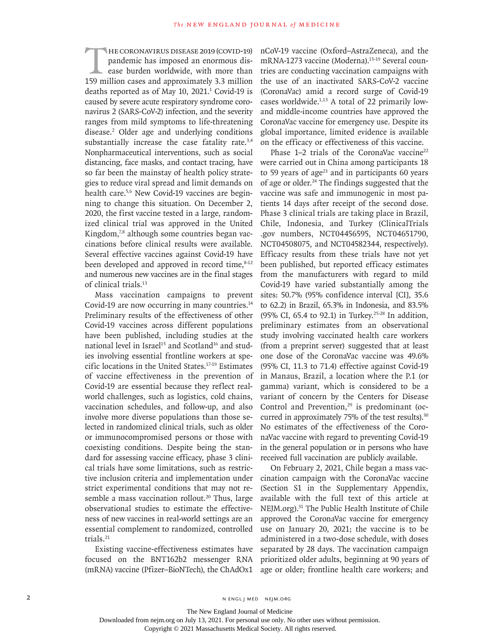HE CORONAVIRUS DISEASE 2019 (COVID-19)<br>pandemic has imposed an enormous dis-<br>ease burden worldwide, with more than<br>159 million cases and approximately 3.3 million pandemic has imposed an enormous disease burden worldwide, with more than 159 million cases and approximately 3.3 million deaths reported as of May  $10$ ,  $2021$ .<sup>1</sup> Covid-19 is caused by severe acute respiratory syndrome coronavirus 2 (SARS-CoV-2) infection, and the severity ranges from mild symptoms to life-threatening disease.2 Older age and underlying conditions substantially increase the case fatality rate.<sup>3,4</sup> Nonpharmaceutical interventions, such as social distancing, face masks, and contact tracing, have so far been the mainstay of health policy strategies to reduce viral spread and limit demands on health care.<sup>5,6</sup> New Covid-19 vaccines are beginning to change this situation. On December 2, 2020, the first vaccine tested in a large, randomized clinical trial was approved in the United Kingdom,7,8 although some countries began vaccinations before clinical results were available. Several effective vaccines against Covid-19 have been developed and approved in record time, $8-12$ and numerous new vaccines are in the final stages of clinical trials.13

Mass vaccination campaigns to prevent Covid-19 are now occurring in many countries.<sup>14</sup> Preliminary results of the effectiveness of other Covid-19 vaccines across different populations have been published, including studies at the national level in Israel<sup>15</sup> and Scotland<sup>16</sup> and studies involving essential frontline workers at specific locations in the United States.17-19 Estimates of vaccine effectiveness in the prevention of Covid-19 are essential because they reflect realworld challenges, such as logistics, cold chains, vaccination schedules, and follow-up, and also involve more diverse populations than those selected in randomized clinical trials, such as older or immunocompromised persons or those with coexisting conditions. Despite being the standard for assessing vaccine efficacy, phase 3 clinical trials have some limitations, such as restrictive inclusion criteria and implementation under strict experimental conditions that may not resemble a mass vaccination rollout.<sup>20</sup> Thus, large observational studies to estimate the effectiveness of new vaccines in real-world settings are an essential complement to randomized, controlled trials.21

Existing vaccine-effectiveness estimates have focused on the BNT162b2 messenger RNA (mRNA) vaccine (Pfizer–BioNTech), the ChAdOx1 nCoV-19 vaccine (Oxford–AstraZeneca), and the mRNA-1273 vaccine (Moderna).<sup>15-19</sup> Several countries are conducting vaccination campaigns with the use of an inactivated SARS-CoV-2 vaccine (CoronaVac) amid a record surge of Covid-19 cases worldwide.1,13 A total of 22 primarily lowand middle-income countries have approved the CoronaVac vaccine for emergency use. Despite its global importance, limited evidence is available on the efficacy or effectiveness of this vaccine.

Phase 1–2 trials of the CoronaVac vaccine<sup>22</sup> were carried out in China among participants 18 to 59 years of age $23$  and in participants 60 years of age or older.<sup>24</sup> The findings suggested that the vaccine was safe and immunogenic in most patients 14 days after receipt of the second dose. Phase 3 clinical trials are taking place in Brazil, Chile, Indonesia, and Turkey (ClinicalTrials .gov numbers, [NCT04456595,](http://clinicaltrials.gov/show/NCT04456595) [NCT04651790](http://clinicaltrials.gov/show/NCT04651790), [NCT04508075](http://clinicaltrials.gov/show/NCT04508075), and [NCT04582344](http://clinicaltrials.gov/show/NCT04582344), respectively). Efficacy results from these trials have not yet been published, but reported efficacy estimates from the manufacturers with regard to mild Covid-19 have varied substantially among the sites: 50.7% (95% confidence interval [CI], 35.6 to 62.2) in Brazil, 65.3% in Indonesia, and 83.5% (95% CI, 65.4 to 92.1) in Turkey.25-28 In addition, preliminary estimates from an observational study involving vaccinated health care workers (from a preprint server) suggested that at least one dose of the CoronaVac vaccine was 49.6% (95% CI, 11.3 to 71.4) effective against Covid-19 in Manaus, Brazil, a location where the P.1 (or gamma) variant, which is considered to be a variant of concern by the Centers for Disease Control and Prevention, $29$  is predominant (occurred in approximately 75% of the test results).<sup>30</sup> No estimates of the effectiveness of the CoronaVac vaccine with regard to preventing Covid-19 in the general population or in persons who have received full vaccination are publicly available.

On February 2, 2021, Chile began a mass vaccination campaign with the CoronaVac vaccine (Section S1 in the Supplementary Appendix, available with the full text of this article at NEJM.org).31 The Public Health Institute of Chile approved the CoronaVac vaccine for emergency use on January 20, 2021; the vaccine is to be administered in a two-dose schedule, with doses separated by 28 days. The vaccination campaign prioritized older adults, beginning at 90 years of age or older; frontline health care workers; and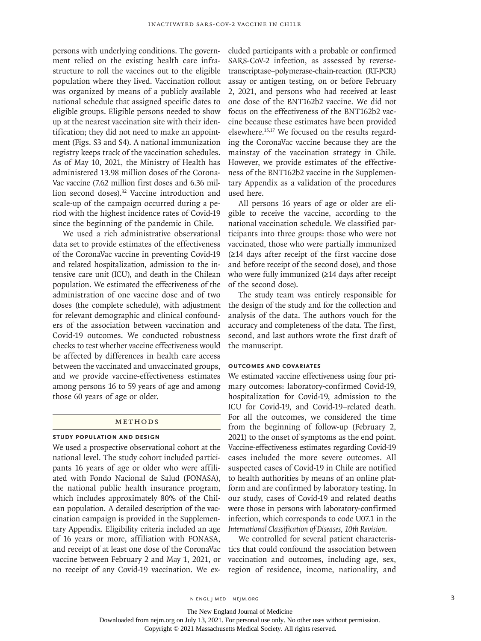persons with underlying conditions. The government relied on the existing health care infrastructure to roll the vaccines out to the eligible population where they lived. Vaccination rollout was organized by means of a publicly available national schedule that assigned specific dates to eligible groups. Eligible persons needed to show up at the nearest vaccination site with their identification; they did not need to make an appointment (Figs. S3 and S4). A national immunization registry keeps track of the vaccination schedules. As of May 10, 2021, the Ministry of Health has administered 13.98 million doses of the Corona-Vac vaccine (7.62 million first doses and 6.36 million second doses).<sup>32</sup> Vaccine introduction and scale-up of the campaign occurred during a period with the highest incidence rates of Covid-19 since the beginning of the pandemic in Chile.

We used a rich administrative observational data set to provide estimates of the effectiveness of the CoronaVac vaccine in preventing Covid-19 and related hospitalization, admission to the intensive care unit (ICU), and death in the Chilean population. We estimated the effectiveness of the administration of one vaccine dose and of two doses (the complete schedule), with adjustment for relevant demographic and clinical confounders of the association between vaccination and Covid-19 outcomes. We conducted robustness checks to test whether vaccine effectiveness would be affected by differences in health care access between the vaccinated and unvaccinated groups, and we provide vaccine-effectiveness estimates among persons 16 to 59 years of age and among those 60 years of age or older.

#### **METHODS**

#### **Study Population and Design**

We used a prospective observational cohort at the national level. The study cohort included participants 16 years of age or older who were affiliated with Fondo Nacional de Salud (FONASA), the national public health insurance program, which includes approximately 80% of the Chilean population. A detailed description of the vaccination campaign is provided in the Supplementary Appendix. Eligibility criteria included an age of 16 years or more, affiliation with FONASA, and receipt of at least one dose of the CoronaVac vaccine between February 2 and May 1, 2021, or no receipt of any Covid-19 vaccination. We excluded participants with a probable or confirmed SARS-CoV-2 infection, as assessed by reversetranscriptase–polymerase-chain-reaction (RT-PCR) assay or antigen testing, on or before February 2, 2021, and persons who had received at least one dose of the BNT162b2 vaccine. We did not focus on the effectiveness of the BNT162b2 vaccine because these estimates have been provided elsewhere.15,17 We focused on the results regarding the CoronaVac vaccine because they are the mainstay of the vaccination strategy in Chile. However, we provide estimates of the effectiveness of the BNT162b2 vaccine in the Supplementary Appendix as a validation of the procedures used here.

All persons 16 years of age or older are eligible to receive the vaccine, according to the national vaccination schedule. We classified participants into three groups: those who were not vaccinated, those who were partially immunized (≥14 days after receipt of the first vaccine dose and before receipt of the second dose), and those who were fully immunized (≥14 days after receipt of the second dose).

The study team was entirely responsible for the design of the study and for the collection and analysis of the data. The authors vouch for the accuracy and completeness of the data. The first, second, and last authors wrote the first draft of the manuscript.

#### **Outcomes and Covariates**

We estimated vaccine effectiveness using four primary outcomes: laboratory-confirmed Covid-19, hospitalization for Covid-19, admission to the ICU for Covid-19, and Covid-19–related death. For all the outcomes, we considered the time from the beginning of follow-up (February 2, 2021) to the onset of symptoms as the end point. Vaccine-effectiveness estimates regarding Covid-19 cases included the more severe outcomes. All suspected cases of Covid-19 in Chile are notified to health authorities by means of an online platform and are confirmed by laboratory testing. In our study, cases of Covid-19 and related deaths were those in persons with laboratory-confirmed infection, which corresponds to code U07.1 in the *International Classification of Diseases, 10th Revision*.

We controlled for several patient characteristics that could confound the association between vaccination and outcomes, including age, sex, region of residence, income, nationality, and

The New England Journal of Medicine

Downloaded from nejm.org on July 13, 2021. For personal use only. No other uses without permission.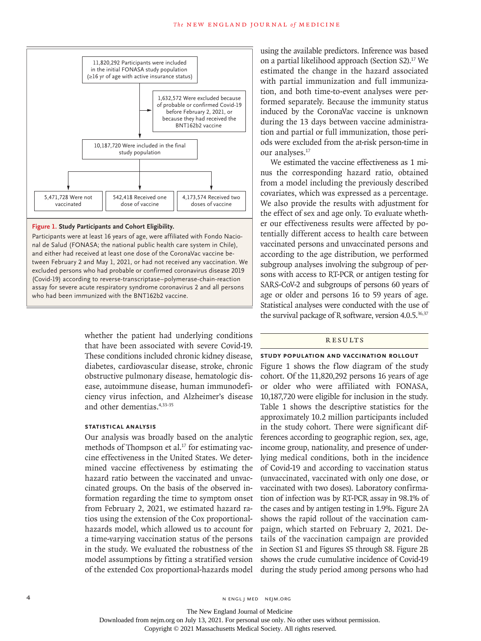

#### **Figure 1. Study Participants and Cohort Eligibility.**

Participants were at least 16 years of age, were affiliated with Fondo Nacional de Salud (FONASA; the national public health care system in Chile), and either had received at least one dose of the CoronaVac vaccine between February 2 and May 1, 2021, or had not received any vaccination. We excluded persons who had probable or confirmed coronavirus disease 2019 (Covid-19) according to reverse-transcriptase–polymerase-chain-reaction assay for severe acute respiratory syndrome coronavirus 2 and all persons who had been immunized with the BNT162b2 vaccine.

> whether the patient had underlying conditions that have been associated with severe Covid-19. These conditions included chronic kidney disease, diabetes, cardiovascular disease, stroke, chronic obstructive pulmonary disease, hematologic disease, autoimmune disease, human immunodeficiency virus infection, and Alzheimer's disease and other dementias.4,33-35

# **Statistical Analysis**

Our analysis was broadly based on the analytic methods of Thompson et al. $^{17}$  for estimating vaccine effectiveness in the United States. We determined vaccine effectiveness by estimating the hazard ratio between the vaccinated and unvaccinated groups. On the basis of the observed information regarding the time to symptom onset from February 2, 2021, we estimated hazard ratios using the extension of the Cox proportionalhazards model, which allowed us to account for a time-varying vaccination status of the persons in the study. We evaluated the robustness of the model assumptions by fitting a stratified version of the extended Cox proportional-hazards model using the available predictors. Inference was based on a partial likelihood approach (Section S2).<sup>17</sup> We estimated the change in the hazard associated with partial immunization and full immunization, and both time-to-event analyses were performed separately. Because the immunity status induced by the CoronaVac vaccine is unknown during the 13 days between vaccine administration and partial or full immunization, those periods were excluded from the at-risk person-time in our analyses.17

We estimated the vaccine effectiveness as 1 minus the corresponding hazard ratio, obtained from a model including the previously described covariates, which was expressed as a percentage. We also provide the results with adjustment for the effect of sex and age only. To evaluate whether our effectiveness results were affected by potentially different access to health care between vaccinated persons and unvaccinated persons and according to the age distribution, we performed subgroup analyses involving the subgroup of persons with access to RT-PCR or antigen testing for SARS-CoV-2 and subgroups of persons 60 years of age or older and persons 16 to 59 years of age. Statistical analyses were conducted with the use of the survival package of R software, version 4.0.5.<sup>36,37</sup>

# **RESULTS**

**Study Population and Vaccination Rollout** Figure 1 shows the flow diagram of the study cohort. Of the 11,820,292 persons 16 years of age or older who were affiliated with FONASA, 10,187,720 were eligible for inclusion in the study. Table 1 shows the descriptive statistics for the approximately 10.2 million participants included in the study cohort. There were significant differences according to geographic region, sex, age, income group, nationality, and presence of underlying medical conditions, both in the incidence of Covid-19 and according to vaccination status (unvaccinated, vaccinated with only one dose, or vaccinated with two doses). Laboratory confirmation of infection was by RT-PCR assay in 98.1% of the cases and by antigen testing in 1.9%. Figure 2A shows the rapid rollout of the vaccination campaign, which started on February 2, 2021. Details of the vaccination campaign are provided in Section S1 and Figures S5 through S8. Figure 2B shows the crude cumulative incidence of Covid-19 during the study period among persons who had

The New England Journal of Medicine

Downloaded from nejm.org on July 13, 2021. For personal use only. No other uses without permission.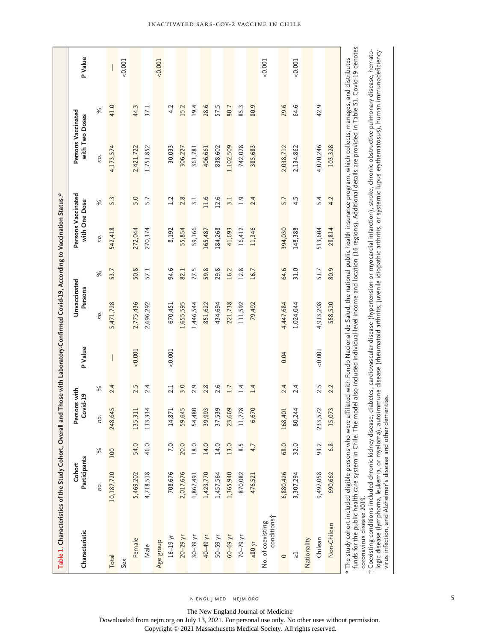| Table 1. Characteristics of the Study Cohort, Overal                                                                                                                                                                                                                                                                                                                                                                                                                    |                        |                |                          |      |          | I and Those with Laboratory-Confirmed Covid-19, According to Vaccination Status.* |      |                                     |                  |                                                                                                                                        |      |          |
|-------------------------------------------------------------------------------------------------------------------------------------------------------------------------------------------------------------------------------------------------------------------------------------------------------------------------------------------------------------------------------------------------------------------------------------------------------------------------|------------------------|----------------|--------------------------|------|----------|-----------------------------------------------------------------------------------|------|-------------------------------------|------------------|----------------------------------------------------------------------------------------------------------------------------------------|------|----------|
| Characteristic                                                                                                                                                                                                                                                                                                                                                                                                                                                          | Participants<br>Cohort |                | Persons with<br>Covid-19 |      | P Value  | Unvaccinated<br>Persons                                                           |      | Persons Vaccinated<br>with One Dose |                  | Persons Vaccinated<br>with Two Doses                                                                                                   |      | P Value  |
|                                                                                                                                                                                                                                                                                                                                                                                                                                                                         | no.                    | $\%$           | no.                      | $\%$ |          | no.                                                                               | $\%$ | no.                                 | $\%$             | no.                                                                                                                                    | $\%$ |          |
| Total                                                                                                                                                                                                                                                                                                                                                                                                                                                                   | 10,187,720             | 100            | 248,645                  | 2.4  |          | 5,471,728                                                                         | 53.7 | 542,418                             | 5.3              | 4,173,574                                                                                                                              | 41.0 |          |
| Sex                                                                                                                                                                                                                                                                                                                                                                                                                                                                     |                        |                |                          |      |          |                                                                                   |      |                                     |                  |                                                                                                                                        |      | $-0.001$ |
| Female                                                                                                                                                                                                                                                                                                                                                                                                                                                                  | 5,469,202              | 54.0           | 35,311                   | 2.5  | 0.001    | 2,775,436                                                                         | 50.8 | 272,044                             | 5.0              | 2,421,722                                                                                                                              | 44.3 |          |
| Male                                                                                                                                                                                                                                                                                                                                                                                                                                                                    | 4,718,518              | 46.0           | 13,334                   | 2.4  |          | 2,696,292                                                                         | 57.1 | 270,374                             | 5.7              | 1,751,852                                                                                                                              | 37.1 |          |
| Age group                                                                                                                                                                                                                                                                                                                                                                                                                                                               |                        |                |                          |      |          |                                                                                   |      |                                     |                  |                                                                                                                                        |      | $-0.001$ |
| $16-19$ yr                                                                                                                                                                                                                                                                                                                                                                                                                                                              | 708,676                | 7.0            | 14,871                   | 2.1  | $-0.001$ | 670,451                                                                           | 94.6 | 8,192                               | 1.2              | 30,033                                                                                                                                 | 4.2  |          |
| $20 - 29$ yr                                                                                                                                                                                                                                                                                                                                                                                                                                                            | 2,017,676              | 20.0           | 59,645                   | 3.0  |          | 1,655,595                                                                         | 82.1 | 55,854                              | 2.8              | 306,227                                                                                                                                | 15.2 |          |
| $30 - 39$ yr                                                                                                                                                                                                                                                                                                                                                                                                                                                            | 1,867,491              | 18.0           | 54,480                   | 2.9  |          | 1,446,544                                                                         | 77.5 | 59,166                              | 3.1              | 361,781                                                                                                                                | 19.4 |          |
| 40-49 уг                                                                                                                                                                                                                                                                                                                                                                                                                                                                | 1,423,770              | 14.0           | 39,993                   | 2.8  |          | 851,622                                                                           | 59.8 | 165,487                             | 11.6             | 406,661                                                                                                                                | 28.6 |          |
| $50-59$ yr                                                                                                                                                                                                                                                                                                                                                                                                                                                              | 1,457,564              | 14.0           | 37,539                   | 2.6  |          | 434,694                                                                           | 29.8 | 184,268                             | 12.6             | 838,602                                                                                                                                | 57.5 |          |
| $50 - 69$ yr                                                                                                                                                                                                                                                                                                                                                                                                                                                            | 1,365,940              | 13.0           | 23,669                   | 1.7  |          | 221,738                                                                           | 16.2 | 41,693                              | 3.1              | 1,102,509                                                                                                                              | 80.7 |          |
| $70 - 79$ yr                                                                                                                                                                                                                                                                                                                                                                                                                                                            | 870,082                | 8.5            | 11,778                   | 1.4  |          | 111,592                                                                           | 12.8 | 16,412                              | $\overline{1.9}$ | 742,078                                                                                                                                | 85.3 |          |
| $>80$ yr                                                                                                                                                                                                                                                                                                                                                                                                                                                                | 476,521                | 4.7            | 6,670                    | 1.4  |          | 79,492                                                                            | 16.7 | 11,346                              | 2.4              | 385,683                                                                                                                                | 80.9 |          |
| conditions;<br>No. of coexisting                                                                                                                                                                                                                                                                                                                                                                                                                                        |                        |                |                          |      |          |                                                                                   |      |                                     |                  |                                                                                                                                        |      | $-0.001$ |
| $\circ$                                                                                                                                                                                                                                                                                                                                                                                                                                                                 | 6,880,426              | 68.0           | 68,401                   | 2.4  | 0.04     | 4,447,684                                                                         | 64.6 | 394,030                             | 5.7              | 2,038,712                                                                                                                              | 29.6 |          |
| $\overline{\lambda}$                                                                                                                                                                                                                                                                                                                                                                                                                                                    | 3,307,294              | 32.0           | 80,244                   | 2.4  |          | 1,024,044                                                                         | 31.0 | 148,388                             | 4.5              | 2,134,862                                                                                                                              | 64.6 | 0.001    |
| Nationality                                                                                                                                                                                                                                                                                                                                                                                                                                                             |                        |                |                          |      |          |                                                                                   |      |                                     |                  |                                                                                                                                        |      |          |
| Chilean                                                                                                                                                                                                                                                                                                                                                                                                                                                                 | 9,497,058              | 93.2           | 233,572                  | 2.5  | $-0.001$ | 4,913,208                                                                         | 51.7 | 513,604                             | 5.4              | 4,070,246                                                                                                                              | 42.9 |          |
| Non-Chilean                                                                                                                                                                                                                                                                                                                                                                                                                                                             | 690,662                | $\infty$<br>نی | 15,073                   | 2.2  |          | 558,520                                                                           | 80.9 | 28,814                              | 4.2              | 103,328                                                                                                                                |      |          |
| † Coexisting conditions included chronic kidney disease, diabetes, cardiovascular disease (hypertension or myocardial infarction), stroke, chronic obstructive pulmonary disease, hemato-<br>* The study cohort included eligible persons who were affiliated with Fondo Nacional de Salud, the national public health insurance program, which collects, manages, and distributes<br>funds for the public health care system in Chile. Th<br>coronavirus disease 2019. |                        |                |                          |      |          |                                                                                   |      |                                     |                  | e model also included individual-level income and location (16 regions). Additional details are provided in Table S1. Covid-19 denotes |      |          |
| logic disease (lymphoma, leukemia, or myeloma), autoimmune disease (rheumatoid arthritis, juvenile idiopathic arthritis, or systemic lupus erythematosus), human immunodeficiency                                                                                                                                                                                                                                                                                       |                        |                |                          |      |          |                                                                                   |      |                                     |                  |                                                                                                                                        |      |          |

n engl j med nejm.org

The New England Journal of Medicine

Downloaded from nejm.org on July 13, 2021. For personal use only. No other uses without permission.

Copyright © 2021 Massachusetts Medical Society. All rights reserved.

5

virus infection, and Alzheimer's disease and other dementias.

# Inactivated SARS-CoV-2 Vaccine in Chile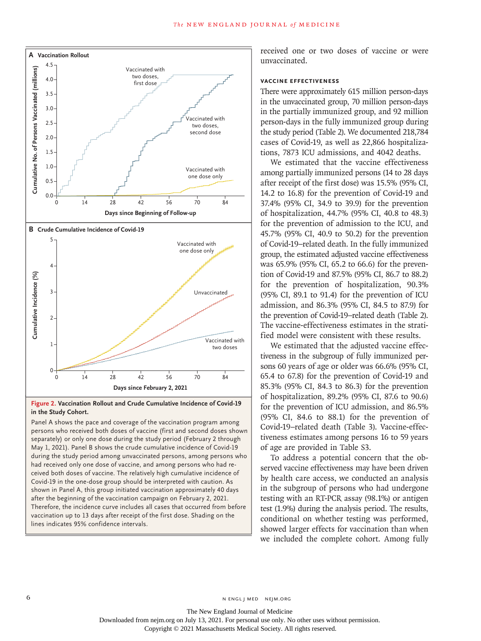

# **Figure 2. Vaccination Rollout and Crude Cumulative Incidence of Covid-19 in the Study Cohort.**

Panel A shows the pace and coverage of the vaccination program among persons who received both doses of vaccine (first and second doses shown separately) or only one dose during the study period (February 2 through May 1, 2021). Panel B shows the crude cumulative incidence of Covid-19 during the study period among unvaccinated persons, among persons who had received only one dose of vaccine, and among persons who had received both doses of vaccine. The relatively high cumulative incidence of Covid-19 in the one-dose group should be interpreted with caution. As shown in Panel A, this group initiated vaccination approximately 40 days after the beginning of the vaccination campaign on February 2, 2021. Therefore, the incidence curve includes all cases that occurred from before vaccination up to 13 days after receipt of the first dose. Shading on the

received one or two doses of vaccine or were unvaccinated.

### **Vaccine Effectiveness**

There were approximately 615 million person-days in the unvaccinated group, 70 million person-days in the partially immunized group, and 92 million person-days in the fully immunized group during the study period (Table 2). We documented 218,784 cases of Covid-19, as well as 22,866 hospitalizations, 7873 ICU admissions, and 4042 deaths.

We estimated that the vaccine effectiveness among partially immunized persons (14 to 28 days after receipt of the first dose) was 15.5% (95% CI, 14.2 to 16.8) for the prevention of Covid-19 and 37.4% (95% CI, 34.9 to 39.9) for the prevention of hospitalization, 44.7% (95% CI, 40.8 to 48.3) for the prevention of admission to the ICU, and 45.7% (95% CI, 40.9 to 50.2) for the prevention of Covid-19–related death. In the fully immunized group, the estimated adjusted vaccine effectiveness was 65.9% (95% CI, 65.2 to 66.6) for the prevention of Covid-19 and 87.5% (95% CI, 86.7 to 88.2) for the prevention of hospitalization, 90.3% (95% CI, 89.1 to 91.4) for the prevention of ICU admission, and 86.3% (95% CI, 84.5 to 87.9) for the prevention of Covid-19–related death (Table 2). The vaccine-effectiveness estimates in the stratified model were consistent with these results.

We estimated that the adjusted vaccine effectiveness in the subgroup of fully immunized persons 60 years of age or older was 66.6% (95% CI, 65.4 to 67.8) for the prevention of Covid-19 and 85.3% (95% CI, 84.3 to 86.3) for the prevention of hospitalization, 89.2% (95% CI, 87.6 to 90.6) for the prevention of ICU admission, and 86.5% (95% CI, 84.6 to 88.1) for the prevention of Covid-19–related death (Table 3). Vaccine-effectiveness estimates among persons 16 to 59 years of age are provided in Table S3.

To address a potential concern that the observed vaccine effectiveness may have been driven by health care access, we conducted an analysis in the subgroup of persons who had undergone testing with an RT-PCR assay (98.1%) or antigen test (1.9%) during the analysis period. The results, conditional on whether testing was performed, showed larger effects for vaccination than when we included the complete cohort. Among fully

The New England Journal of Medicine Downloaded from nejm.org on July 13, 2021. For personal use only. No other uses without permission.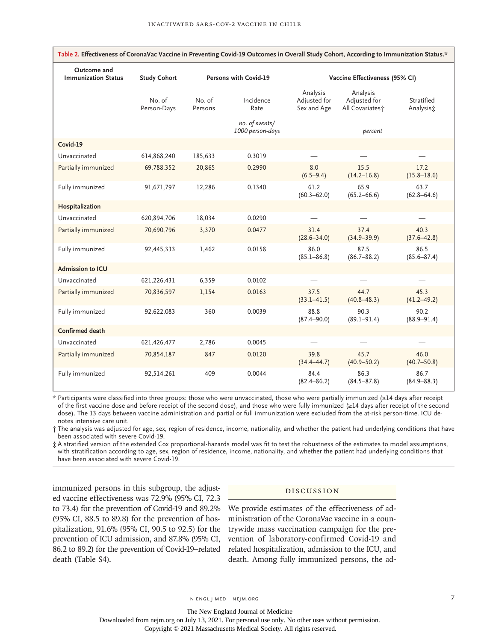| Table 2. Effectiveness of CoronaVac Vaccine in Preventing Covid-19 Outcomes in Overall Study Cohort, According to Immunization Status.* |                       |                       |                                    |                                         |                                                         |                         |  |  |  |
|-----------------------------------------------------------------------------------------------------------------------------------------|-----------------------|-----------------------|------------------------------------|-----------------------------------------|---------------------------------------------------------|-------------------------|--|--|--|
| Outcome and<br><b>Immunization Status</b>                                                                                               | <b>Study Cohort</b>   | Persons with Covid-19 |                                    | Vaccine Effectiveness (95% CI)          |                                                         |                         |  |  |  |
|                                                                                                                                         | No. of<br>Person-Days | No. of<br>Persons     | Incidence<br>Rate                  | Analysis<br>Adjusted for<br>Sex and Age | Analysis<br>Adjusted for<br>All Covariates <sup>+</sup> | Stratified<br>Analysis: |  |  |  |
|                                                                                                                                         |                       |                       | no. of events/<br>1000 person-days |                                         | percent                                                 |                         |  |  |  |
| Covid-19                                                                                                                                |                       |                       |                                    |                                         |                                                         |                         |  |  |  |
| Unvaccinated                                                                                                                            | 614,868,240           | 185,633               | 0.3019                             |                                         |                                                         |                         |  |  |  |
| Partially immunized                                                                                                                     | 69,788,352            | 20,865                | 0.2990                             | 8.0<br>$(6.5 - 9.4)$                    | 15.5<br>$(14.2 - 16.8)$                                 | 17.2<br>$(15.8 - 18.6)$ |  |  |  |
| Fully immunized                                                                                                                         | 91,671,797            | 12,286                | 0.1340                             | 61.2<br>$(60.3 - 62.0)$                 | 65.9<br>$(65.2 - 66.6)$                                 | 63.7<br>$(62.8 - 64.6)$ |  |  |  |
| Hospitalization                                                                                                                         |                       |                       |                                    |                                         |                                                         |                         |  |  |  |
| Unvaccinated                                                                                                                            | 620,894,706           | 18,034                | 0.0290                             |                                         |                                                         |                         |  |  |  |
| Partially immunized                                                                                                                     | 70,690,796            | 3,370                 | 0.0477                             | 31.4<br>$(28.6 - 34.0)$                 | 37.4<br>$(34.9 - 39.9)$                                 | 40.3<br>$(37.6 - 42.8)$ |  |  |  |
| Fully immunized                                                                                                                         | 92,445,333            | 1,462                 | 0.0158                             | 86.0<br>$(85.1 - 86.8)$                 | 87.5<br>$(86.7 - 88.2)$                                 | 86.5<br>$(85.6 - 87.4)$ |  |  |  |
| <b>Admission to ICU</b>                                                                                                                 |                       |                       |                                    |                                         |                                                         |                         |  |  |  |
| Unvaccinated                                                                                                                            | 621,226,431           | 6,359                 | 0.0102                             |                                         |                                                         |                         |  |  |  |
| Partially immunized                                                                                                                     | 70,836,597            | 1,154                 | 0.0163                             | 37.5<br>$(33.1 - 41.5)$                 | 44.7<br>$(40.8 - 48.3)$                                 | 45.3<br>$(41.2 - 49.2)$ |  |  |  |
| Fully immunized                                                                                                                         | 92,622,083            | 360                   | 0.0039                             | 88.8<br>$(87.4 - 90.0)$                 | 90.3<br>$(89.1 - 91.4)$                                 | 90.2<br>$(88.9 - 91.4)$ |  |  |  |
| Confirmed death                                                                                                                         |                       |                       |                                    |                                         |                                                         |                         |  |  |  |
| Unvaccinated                                                                                                                            | 621,426,477           | 2,786                 | 0.0045                             |                                         |                                                         |                         |  |  |  |
| Partially immunized                                                                                                                     | 70,854,187            | 847                   | 0.0120                             | 39.8<br>$(34.4 - 44.7)$                 | 45.7<br>$(40.9 - 50.2)$                                 | 46.0<br>$(40.7 - 50.8)$ |  |  |  |
| Fully immunized                                                                                                                         | 92,514,261            | 409                   | 0.0044                             | 84.4<br>$(82.4 - 86.2)$                 | 86.3<br>$(84.5 - 87.8)$                                 | 86.7<br>$(84.9 - 88.3)$ |  |  |  |

\* Participants were classified into three groups: those who were unvaccinated, those who were partially immunized (≥14 days after receipt of the first vaccine dose and before receipt of the second dose), and those who were fully immunized (≥14 days after receipt of the second dose). The 13 days between vaccine administration and partial or full immunization were excluded from the at-risk person-time. ICU denotes intensive care unit.

† The analysis was adjusted for age, sex, region of residence, income, nationality, and whether the patient had underlying conditions that have been associated with severe Covid-19.

‡ A stratified version of the extended Cox proportional-hazards model was fit to test the robustness of the estimates to model assumptions, with stratification according to age, sex, region of residence, income, nationality, and whether the patient had underlying conditions that have been associated with severe Covid-19.

immunized persons in this subgroup, the adjusted vaccine effectiveness was 72.9% (95% CI, 72.3 to 73.4) for the prevention of Covid-19 and 89.2% (95% CI, 88.5 to 89.8) for the prevention of hospitalization, 91.6% (95% CI, 90.5 to 92.5) for the prevention of ICU admission, and 87.8% (95% CI, 86.2 to 89.2) for the prevention of Covid-19–related death (Table S4).

#### Discussion

We provide estimates of the effectiveness of administration of the CoronaVac vaccine in a countrywide mass vaccination campaign for the prevention of laboratory-confirmed Covid-19 and related hospitalization, admission to the ICU, and death. Among fully immunized persons, the ad-

The New England Journal of Medicine

Downloaded from nejm.org on July 13, 2021. For personal use only. No other uses without permission.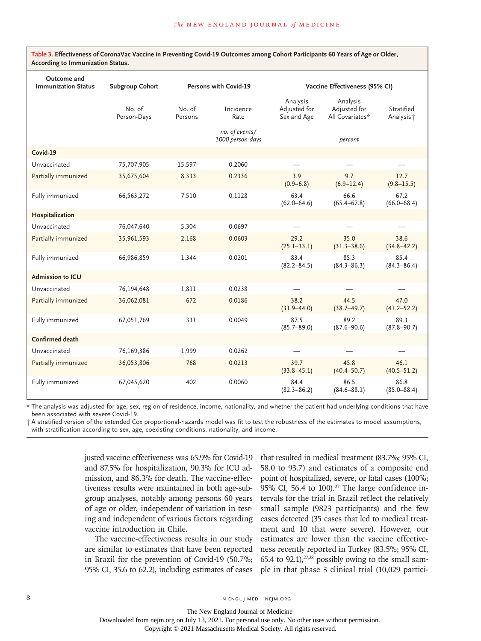| Outcome and<br><b>Immunization Status</b> | Subgroup Cohort       | Persons with Covid-19 | Vaccine Effectiveness (95% CI)     |                                         |                                             |                                     |
|-------------------------------------------|-----------------------|-----------------------|------------------------------------|-----------------------------------------|---------------------------------------------|-------------------------------------|
|                                           | No. of<br>Person-Days | No. of<br>Persons     | Incidence<br>Rate                  | Analysis<br>Adjusted for<br>Sex and Age | Analysis<br>Adjusted for<br>All Covariates* | Stratified<br>Analysis <sup>+</sup> |
|                                           |                       |                       | no. of events/<br>1000 person-days |                                         | percent                                     |                                     |
| Covid-19                                  |                       |                       |                                    |                                         |                                             |                                     |
| Unvaccinated                              | 75,707,905            | 15,597                | 0.2060                             |                                         |                                             |                                     |
| Partially immunized                       | 35,675,604            | 8,333                 | 0.2336                             | 3.9<br>$(0.9 - 6.8)$                    | 9.7<br>$(6.9 - 12.4)$                       | 12.7<br>$(9.8 - 15.5)$              |
| Fully immunized                           | 66,563,272            | 7,510                 | 0.1128                             | 63.4<br>$(62.0 - 64.6)$                 | 66.6<br>$(65.4 - 67.8)$                     | 67.2<br>$(66.0 - 68.4)$             |
| Hospitalization                           |                       |                       |                                    |                                         |                                             |                                     |
| Unvaccinated                              | 76,047,640            | 5,304                 | 0.0697                             |                                         |                                             |                                     |
| Partially immunized                       | 35,961,593            | 2,168                 | 0.0603                             | 29.2<br>$(25.1 - 33.1)$                 | 35.0<br>$(31.3 - 38.6)$                     | 38.6<br>$(34.8 - 42.2)$             |
| Fully immunized                           | 66,986,859            | 1,344                 | 0.0201                             | 83.4<br>$(82.2 - 84.5)$                 | 85.3<br>$(84.3 - 86.3)$                     | 85.4<br>$(84.3 - 86.4)$             |
| <b>Admission to ICU</b>                   |                       |                       |                                    |                                         |                                             |                                     |
| Unvaccinated                              | 76,194,648            | 1,811                 | 0.0238                             |                                         |                                             |                                     |
| Partially immunized                       | 36,062,081            | 672                   | 0.0186                             | 38.2<br>$(31.9 - 44.0)$                 | 44.5<br>$(38.7 - 49.7)$                     | 47.0<br>$(41.2 - 52.2)$             |
| Fully immunized                           | 67,051,769            | 331                   | 0.0049                             | 87.5<br>$(85.7 - 89.0)$                 | 89.2<br>$(87.6 - 90.6)$                     | 89.3<br>$(87.8 - 90.7)$             |
| <b>Confirmed death</b>                    |                       |                       |                                    |                                         |                                             |                                     |
| Unvaccinated                              | 76,169,386            | 1,999                 | 0.0262                             |                                         |                                             |                                     |
| Partially immunized                       | 36,053,806            | 768                   | 0.0213                             | 39.7<br>$(33.8 - 45.1)$                 | 45.8<br>$(40.4 - 50.7)$                     | 46.1<br>$(40.5 - 51.2)$             |
| Fully immunized                           | 67,045,620            | 402                   | 0.0060                             | 84.4<br>$(82.3 - 86.2)$                 | 86.5<br>$(84.6 - 88.1)$                     | 86.8<br>$(85.0 - 88.4)$             |

**Table 3. Effectiveness of CoronaVac Vaccine in Preventing Covid-19 Outcomes among Cohort Participants 60 Years of Age or Older, According to Immunization Status.**

\* The analysis was adjusted for age, sex, region of residence, income, nationality, and whether the patient had underlying conditions that have been associated with severe Covid-19.

† A stratified version of the extended Cox proportional-hazards model was fit to test the robustness of the estimates to model assumptions, with stratification according to sex, age, coexisting conditions, nationality, and income.

justed vaccine effectiveness was 65.9% for Covid-19 and 87.5% for hospitalization, 90.3% for ICU admission, and 86.3% for death. The vaccine-effectiveness results were maintained in both age-subgroup analyses, notably among persons 60 years of age or older, independent of variation in testing and independent of various factors regarding vaccine introduction in Chile.

The vaccine-effectiveness results in our study are similar to estimates that have been reported in Brazil for the prevention of Covid-19 (50.7%; 95% CI, 35.6 to 62.2), including estimates of cases that resulted in medical treatment (83.7%; 95% CI, 58.0 to 93.7) and estimates of a composite end point of hospitalized, severe, or fatal cases (100%; 95% CI, 56.4 to  $100$ ).<sup>27</sup> The large confidence intervals for the trial in Brazil reflect the relatively small sample (9823 participants) and the few cases detected (35 cases that led to medical treatment and 10 that were severe). However, our estimates are lower than the vaccine effectiveness recently reported in Turkey (83.5%; 95% CI, 65.4 to 92.1), $27,28$  possibly owing to the small sample in that phase 3 clinical trial (10,029 partici-

The New England Journal of Medicine Downloaded from nejm.org on July 13, 2021. For personal use only. No other uses without permission.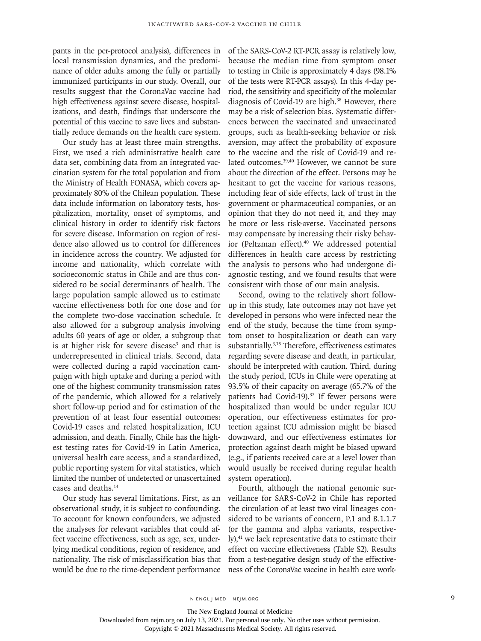pants in the per-protocol analysis), differences in local transmission dynamics, and the predominance of older adults among the fully or partially immunized participants in our study. Overall, our results suggest that the CoronaVac vaccine had high effectiveness against severe disease, hospitalizations, and death, findings that underscore the potential of this vaccine to save lives and substantially reduce demands on the health care system.

Our study has at least three main strengths. First, we used a rich administrative health care data set, combining data from an integrated vaccination system for the total population and from the Ministry of Health FONASA, which covers approximately 80% of the Chilean population. These data include information on laboratory tests, hospitalization, mortality, onset of symptoms, and clinical history in order to identify risk factors for severe disease. Information on region of residence also allowed us to control for differences in incidence across the country. We adjusted for income and nationality, which correlate with socioeconomic status in Chile and are thus considered to be social determinants of health. The large population sample allowed us to estimate vaccine effectiveness both for one dose and for the complete two-dose vaccination schedule. It also allowed for a subgroup analysis involving adults 60 years of age or older, a subgroup that is at higher risk for severe disease<sup>3</sup> and that is underrepresented in clinical trials. Second, data were collected during a rapid vaccination campaign with high uptake and during a period with one of the highest community transmission rates of the pandemic, which allowed for a relatively short follow-up period and for estimation of the prevention of at least four essential outcomes: Covid-19 cases and related hospitalization, ICU admission, and death. Finally, Chile has the highest testing rates for Covid-19 in Latin America, universal health care access, and a standardized, public reporting system for vital statistics, which limited the number of undetected or unascertained cases and deaths.14

Our study has several limitations. First, as an observational study, it is subject to confounding. To account for known confounders, we adjusted the analyses for relevant variables that could affect vaccine effectiveness, such as age, sex, underlying medical conditions, region of residence, and nationality. The risk of misclassification bias that would be due to the time-dependent performance of the SARS-CoV-2 RT-PCR assay is relatively low, because the median time from symptom onset to testing in Chile is approximately 4 days (98.1% of the tests were RT-PCR assays). In this 4-day period, the sensitivity and specificity of the molecular diagnosis of Covid-19 are high.<sup>38</sup> However, there may be a risk of selection bias. Systematic differences between the vaccinated and unvaccinated groups, such as health-seeking behavior or risk aversion, may affect the probability of exposure to the vaccine and the risk of Covid-19 and related outcomes.<sup>39,40</sup> However, we cannot be sure about the direction of the effect. Persons may be hesitant to get the vaccine for various reasons, including fear of side effects, lack of trust in the government or pharmaceutical companies, or an opinion that they do not need it, and they may be more or less risk-averse. Vaccinated persons may compensate by increasing their risky behavior (Peltzman effect).<sup>40</sup> We addressed potential differences in health care access by restricting the analysis to persons who had undergone diagnostic testing, and we found results that were consistent with those of our main analysis.

Second, owing to the relatively short followup in this study, late outcomes may not have yet developed in persons who were infected near the end of the study, because the time from symptom onset to hospitalization or death can vary substantially.3,15 Therefore, effectiveness estimates regarding severe disease and death, in particular, should be interpreted with caution. Third, during the study period, ICUs in Chile were operating at 93.5% of their capacity on average (65.7% of the patients had Covid-19).<sup>32</sup> If fewer persons were hospitalized than would be under regular ICU operation, our effectiveness estimates for protection against ICU admission might be biased downward, and our effectiveness estimates for protection against death might be biased upward (e.g., if patients received care at a level lower than would usually be received during regular health system operation).

Fourth, although the national genomic surveillance for SARS-CoV-2 in Chile has reported the circulation of at least two viral lineages considered to be variants of concern, P.1 and B.1.1.7 (or the gamma and alpha variants, respectively),41 we lack representative data to estimate their effect on vaccine effectiveness (Table S2). Results from a test-negative design study of the effectiveness of the CoronaVac vaccine in health care work-

n engl j med nejm.org 9

The New England Journal of Medicine

Downloaded from nejm.org on July 13, 2021. For personal use only. No other uses without permission.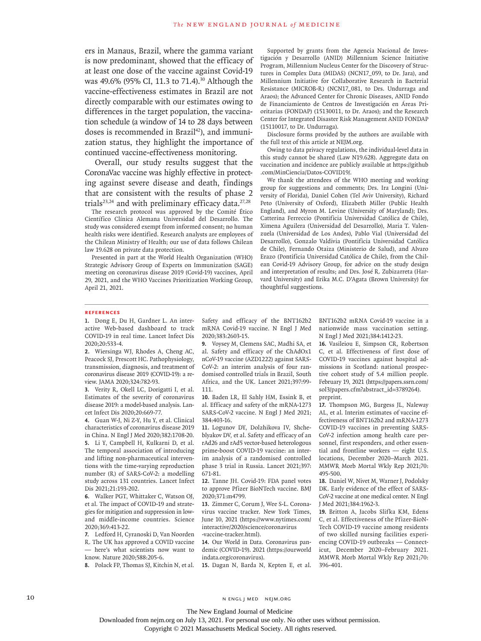ers in Manaus, Brazil, where the gamma variant is now predominant, showed that the efficacy of at least one dose of the vaccine against Covid-19 was 49.6% (95% CI, 11.3 to 71.4).<sup>30</sup> Although the vaccine-effectiveness estimates in Brazil are not directly comparable with our estimates owing to differences in the target population, the vaccination schedule (a window of 14 to 28 days between doses is recommended in Brazil<sup>42</sup>), and immunization status, they highlight the importance of continued vaccine-effectiveness monitoring.

Overall, our study results suggest that the CoronaVac vaccine was highly effective in protecting against severe disease and death, findings that are consistent with the results of phase 2 trials<sup>23,24</sup> and with preliminary efficacy data.<sup>27,28</sup>

The research protocol was approved by the Comité Ético Científico Clínica Alemana Universidad del Desarrollo. The study was considered exempt from informed consent; no human health risks were identified. Research analysts are employees of the Chilean Ministry of Health; our use of data follows Chilean law 19.628 on private data protection.

Presented in part at the World Health Organization (WHO) Strategic Advisory Group of Experts on Immunization (SAGE) meeting on coronavirus disease 2019 (Covid-19) vaccines, April 29, 2021, and the WHO Vaccines Prioritization Working Group, April 21, 2021.

Supported by grants from the Agencia Nacional de Investigación y Desarrollo (ANID) Millennium Science Initiative Program, Millennium Nucleus Center for the Discovery of Structures in Complex Data (MIDAS) (NCN17\_059, to Dr. Jara), and Millennium Initiative for Collaborative Research in Bacterial Resistance (MICROB-R) (NCN17\_081, to Drs. Undurraga and Araos); the Advanced Center for Chronic Diseases, ANID Fondo de Financiamiento de Centros de Investigación en Áreas Prioritarias (FONDAP) (15130011, to Dr. Araos); and the Research Center for Integrated Disaster Risk Management ANID FONDAP (15110017, to Dr. Undurraga).

Disclosure forms provided by the authors are available with the full text of this article at NEJM.org.

Owing to data privacy regulations, the individual-level data in this study cannot be shared (Law N19.628). Aggregate data on vaccination and incidence are publicly available at [https://github](https://github.com/MinCiencia/Datos-COVID19/) [.com/MinCiencia/Datos-COVID19/.](https://github.com/MinCiencia/Datos-COVID19/)

We thank the attendees of the WHO meeting and working group for suggestions and comments; Drs. Ira Longini (University of Florida), Daniel Cohen (Tel Aviv University), Richard Peto (University of Oxford), Elizabeth Miller (Public Health England), and Myron M. Levine (University of Maryland); Drs. Catterina Ferreccio (Pontificia Universidad Católica de Chile), Ximena Aguilera (Universidad del Desarrollo), Maria T. Valenzuela (Universidad de Los Andes), Pablo Vial (Universidad del Desarrollo), Gonzalo Valdivia (Pontificia Universidad Católica de Chile), Fernando Otaiza (Ministerio de Salud), and Alvaro Erazo (Pontificia Universidad Católica de Chile), from the Chilean Covid-19 Advisory Group, for advice on the study design and interpretation of results; and Drs. José R. Zubizarreta (Harvard University) and Erika M.C. D'Agata (Brown University) for thoughtful suggestions.

#### **References**

**1.** Dong E, Du H, Gardner L. An interactive Web-based dashboard to track COVID-19 in real time. Lancet Infect Dis 2020;20:533-4.

**2.** Wiersinga WJ, Rhodes A, Cheng AC, Peacock SJ, Prescott HC. Pathophysiology, transmission, diagnosis, and treatment of coronavirus disease 2019 (COVID-19): a review. JAMA 2020;324:782-93.

**3.** Verity R, Okell LC, Dorigatti I, et al. Estimates of the severity of coronavirus disease 2019: a model-based analysis. Lancet Infect Dis 2020;20:669-77.

**4.** Guan W-J, Ni Z-Y, Hu Y, et al. Clinical characteristics of coronavirus disease 2019 in China. N Engl J Med 2020;382:1708-20. **5.** Li Y, Campbell H, Kulkarni D, et al. The temporal association of introducing and lifting non-pharmaceutical interventions with the time-varying reproduction number (R) of SARS-CoV-2: a modelling study across 131 countries. Lancet Infect Dis 2021;21:193-202.

**6.** Walker PGT, Whittaker C, Watson OJ, et al. The impact of COVID-19 and strategies for mitigation and suppression in lowand middle-income countries. Science 2020;369:413-22.

**7.** Ledford H, Cyranoski D, Van Noorden R. The UK has approved a COVID vaccine — here's what scientists now want to know. Nature 2020;588:205-6.

**8.** Polack FP, Thomas SJ, Kitchin N, et al.

Safety and efficacy of the BNT162b2 mRNA Covid-19 vaccine. N Engl J Med 2020;383:2603-15.

**9.** Voysey M, Clemens SAC, Madhi SA, et al. Safety and efficacy of the ChAdOx1 nCoV-19 vaccine (AZD1222) against SARS-CoV-2: an interim analysis of four randomised controlled trials in Brazil, South Africa, and the UK. Lancet 2021;397:99- 111.

**10.** Baden LR, El Sahly HM, Essink B, et al. Efficacy and safety of the mRNA-1273 SARS-CoV-2 vaccine. N Engl J Med 2021; 384:403-16.

**11.** Logunov DY, Dolzhikova IV, Shcheblyakov DV, et al. Safety and efficacy of an rAd26 and rAd5 vector-based heterologous prime-boost COVID-19 vaccine: an interim analysis of a randomised controlled phase 3 trial in Russia. Lancet 2021;397: 671-81.

**12.** Tanne JH. Covid-19: FDA panel votes to approve Pfizer BioNTech vaccine. BMJ 2020;371:m4799.

**13.** Zimmer C, Corum J, Wee S-L. Coronavirus vaccine tracker. New York Times, June 10, 2021 ([https://www.nytimes.com/](https://www.nytimes.com/interactive/2020/science/coronavirus-vaccine-tracker.html) [interactive/2020/science/coronavirus](https://www.nytimes.com/interactive/2020/science/coronavirus-vaccine-tracker.html) [-vaccine-tracker.html\)](https://www.nytimes.com/interactive/2020/science/coronavirus-vaccine-tracker.html).

**14.** Our World in Data. Coronavirus pandemic (COVID-19). 2021 ([https://ourworld](https://ourworldindata.org/coronavirus) [indata.org/coronavirus\)](https://ourworldindata.org/coronavirus).

**15.** Dagan N, Barda N, Kepten E, et al.

BNT162b2 mRNA Covid-19 vaccine in a nationwide mass vaccination setting. N Engl J Med 2021;384:1412-23.

**16.** Vasileiou E, Simpson CR, Robertson C, et al. Effectiveness of first dose of COVID-19 vaccines against hospital admissions in Scotland: national prospective cohort study of 5.4 million people. February 19, 2021 [\(https://papers.ssrn.com/](https://papers.ssrn.com/sol3/papers.cfm?abstract_id=3789264) [sol3/papers.cfm?abstract\\_id=3789264](https://papers.ssrn.com/sol3/papers.cfm?abstract_id=3789264)). preprint.

**17.** Thompson MG, Burgess JL, Naleway AL, et al. Interim estimates of vaccine effectiveness of BNT162b2 and mRNA-1273 COVID-19 vaccines in preventing SARS-CoV-2 infection among health care personnel, first responders, and other essential and frontline workers — eight U.S. locations, December 2020–March 2021. MMWR Morb Mortal Wkly Rep 2021;70: 495-500.

**18.** Daniel W, Nivet M, Warner J, Podolsky DK. Early evidence of the effect of SARS-CoV-2 vaccine at one medical center. N Engl J Med 2021;384:1962-3.

**19.** Britton A, Jacobs Slifka KM, Edens C, et al. Effectiveness of the Pfizer-BioN-Tech COVID-19 vaccine among residents of two skilled nursing facilities experiencing COVID-19 outbreaks — Connecticut, December 2020–February 2021. MMWR Morb Mortal Wkly Rep 2021;70: 396-401.

10 N ENGL J MED NEJM.ORG

The New England Journal of Medicine

Downloaded from nejm.org on July 13, 2021. For personal use only. No other uses without permission.